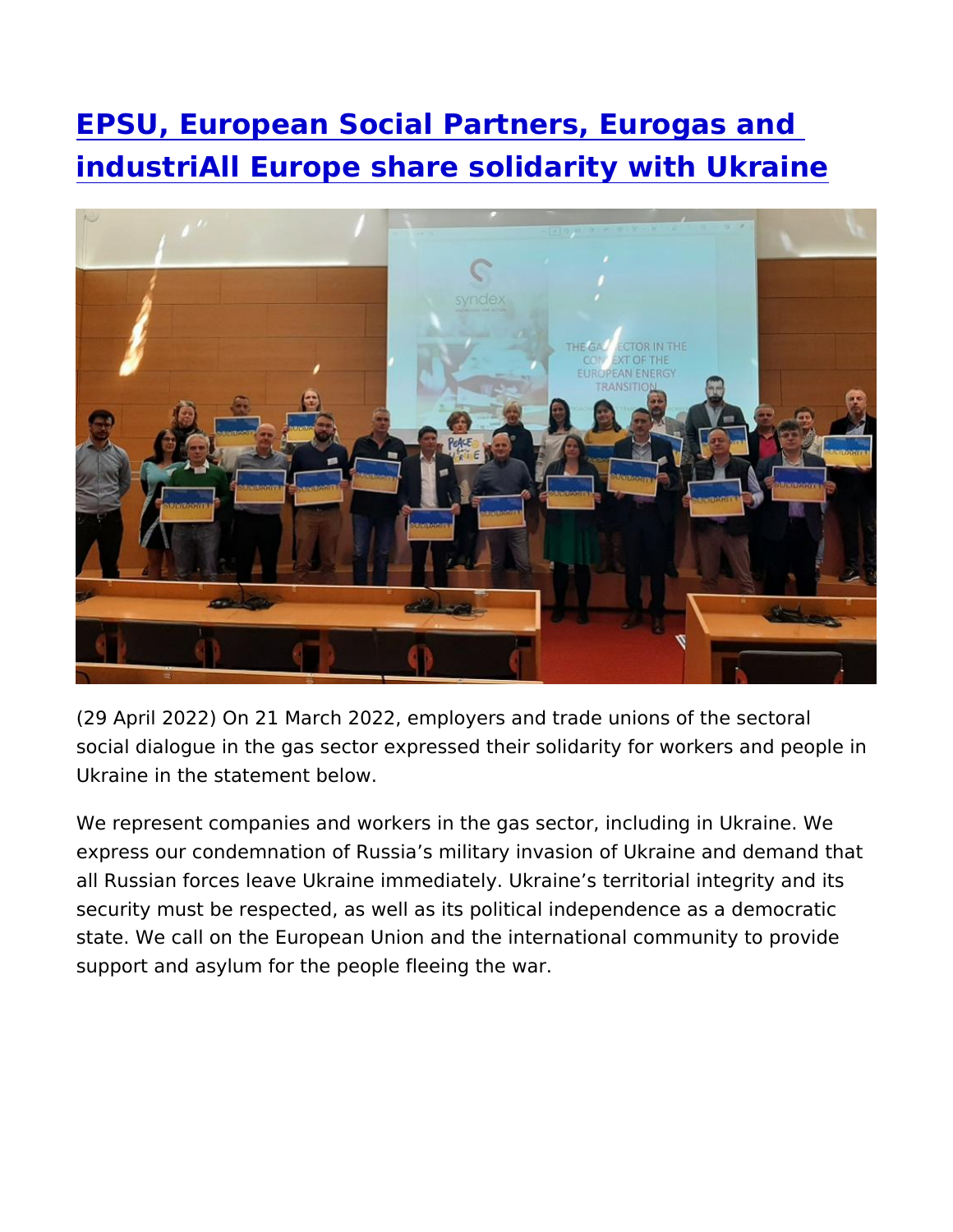[EPSU, European Social Partners, Eu](https://www.epsu.org/article/epsu-european-social-partners-eurogas-and-industriall-europe-share-solidarity-ukraine)rogas a [industriAll Europe share solidarity wi](https://www.epsu.org/article/epsu-european-social-partners-eurogas-and-industriall-europe-share-solidarity-ukraine)th Ukr

(29 April 2022) On 21 March 2022, employers and trade unions of social dialogue in the gas sector expressed their solidarity for wo Ukraine in the statement below.

We represent companies and workers in the gas sector, including express our condemnation of Russia s military invasion of Ukraine all Russian forces leave Ukraine immediately. Ukraine s territoria security must be respected, as well as its political independence state. We call on the European Union and the international commu support and asylum for the people fleeing the war.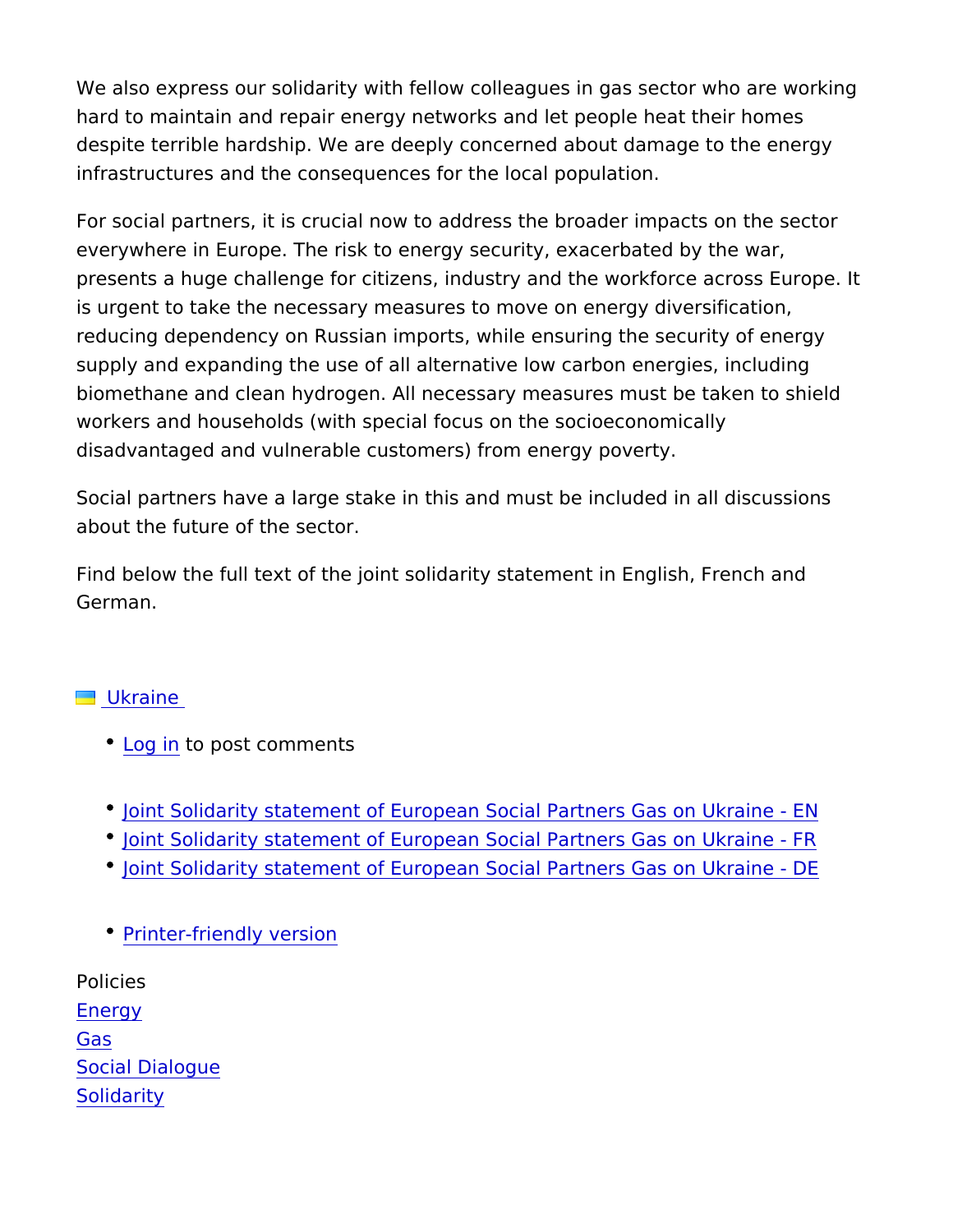We also express our solidarity with fellow colleagues in gas sector hard to maintain and repair energy networks and let people heat t despite terrible hardship. We are deeply concerned about damage infrastructures and the consequences for the local population.

For social partners, it is crucial now to address the broader impa everywhere in Europe. The risk to energy security, exacerbated b presents a huge challenge for citizens, industry and the workforc is urgent to take the necessary measures to move on energy diver reducing dependency on Russian imports, while ensuring the secu supply and expanding the use of all alternative low carbon energi biomethane and clean hydrogen. All necessary measures must be workers and households (with special focus on the socioeconomic disadvantaged and vulnerable customers) from energy poverty.

Social partners have a large stake in this and must be included in about the future of the sector.

Find below the full text of the joint solidarity statement in English German.

## [Ukrai](https://www.epsu.org/countries/ukraine)ne

- [Log](https://www.epsu.org/user/login?destination=/article/epsu-european-social-partners-eurogas-and-industriall-europe-share-solidarity-ukraine#comment-form) ino post comments
- [Joint Solidarity statement of European Social Partne](https://www.epsu.org/sites/default/files/article/files/Solidarity statement of European Social Partners Gas Ukraine_final.pdf)rs Gas on
- [Joint Solidarity statement of European Social Partne](https://www.epsu.org/sites/default/files/article/files/Solidarity statement of European Social Partners Gas Ukraine_FR_final.pdf)rs Gas on
- [Joint Solidarity statement of European Social Partne](https://www.epsu.org/sites/default/files/article/files/Solidarity statement of European Social Partners Gas Ukraine DE_final.pdf)rs Gas on
- [Printer-friendly](https://www.epsu.org/entityprint/pdf/node/14065) version

Policies [Ener](https://www.epsu.org/policies/energy-0)gy [Ga](https://www.epsu.org/policies/gas)s [Social Dial](https://www.epsu.org/policies/social-dialogue)ogue [Solidar](https://www.epsu.org/policies/solidarity)ity